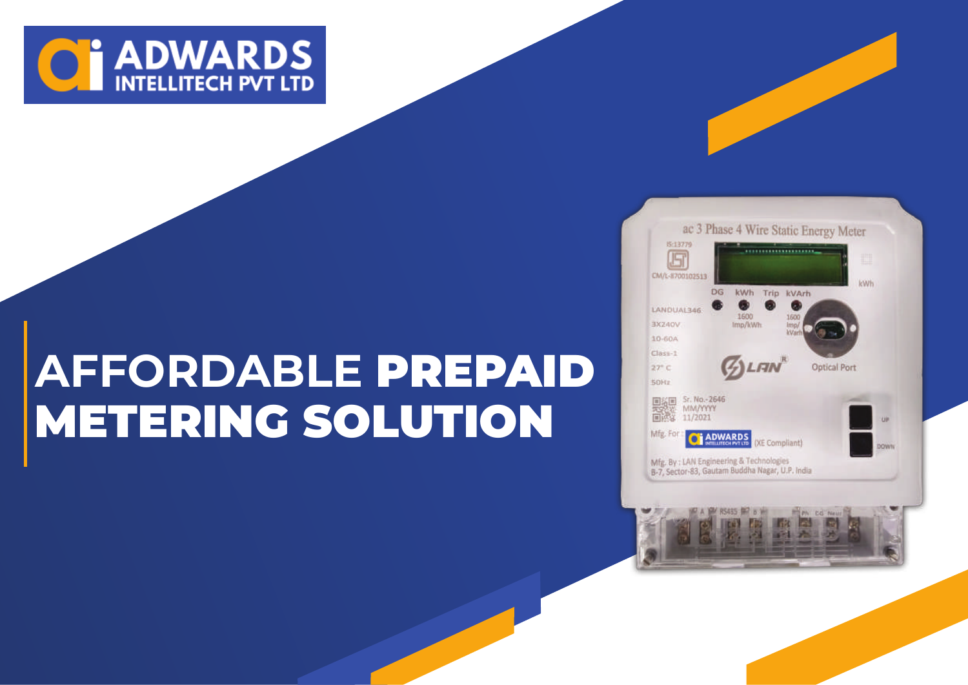

# **AFFORDABLE** PREPAID METERING SOLUTION

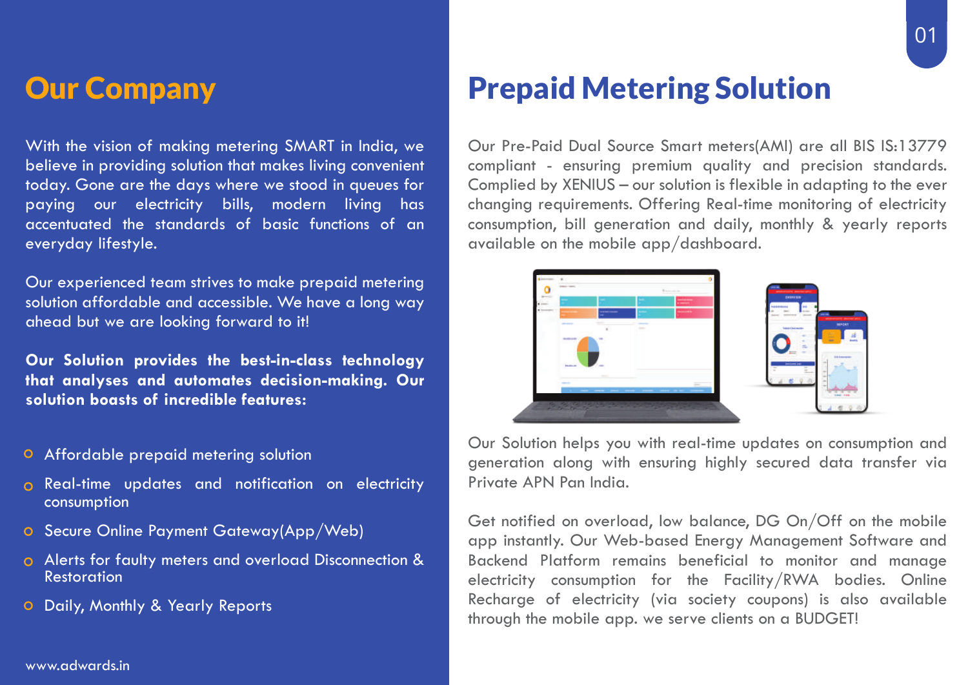#### Our Company

With the vision of making metering SMART in India, we believe in providing solution that makes living convenient today. Gone are the days where we stood in queues for paying our electricity bills, modern living has accentuated the standards of basic functions of an everyday lifestyle.

Our experienced team strives to make prepaid metering solution affordable and accessible. We have a long way ahead but we are looking forward to it!

**Our Solution provides the best-in-class technology that analyses and automates decision-making. Our solution boasts of incredible features:**

- **O** Affordable prepaid metering solution
- **o** Real-time updates and notification on electricity consumption
- o Secure Online Payment Gateway(App/Web)
- Alerts for faulty meters and overload Disconnection & Restoration
- Daily, Monthly & Yearly Reports

### Prepaid Metering Solution

Our Pre-Paid Dual Source Smart meters(AMI) are all BIS IS:13779 compliant - ensuring premium quality and precision standards. Complied by XENIUS – our solution is flexible in adapting to the ever changing requirements. Offering Real-time monitoring of electricity consumption, bill generation and daily, monthly & yearly reports available on the mobile app/dashboard.



Our Solution helps you with real-time updates on consumption and generation along with ensuring highly secured data transfer via Private APN Pan India.

Get notified on overload, low balance, DG On/Off on the mobile app instantly. Our Web-based Energy Management Software and Backend Platform remains beneficial to monitor and manage electricity consumption for the Facility/RWA bodies. Online Recharge of electricity (via society coupons) is also available through the mobile app. we serve clients on a BUDGET!

#### www.adwards.in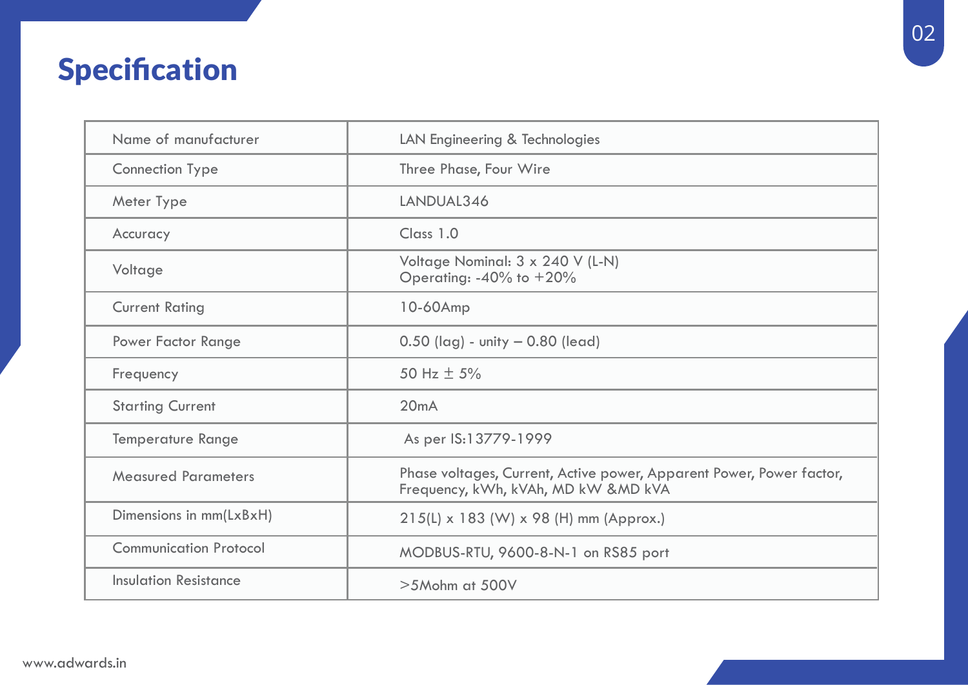## **Specification**

| Name of manufacturer          | LAN Engineering & Technologies                                                                              |
|-------------------------------|-------------------------------------------------------------------------------------------------------------|
| <b>Connection Type</b>        | Three Phase, Four Wire                                                                                      |
| Meter Type                    | LANDUAL346                                                                                                  |
| Accuracy                      | Class 1.0                                                                                                   |
| Voltage                       | Voltage Nominal: 3 x 240 V (L-N)<br>Operating: $-40\%$ to $+20\%$                                           |
| <b>Current Rating</b>         | $10-60$ Amp                                                                                                 |
| Power Factor Range            | $0.50$ (lag) - unity $-0.80$ (lead)                                                                         |
| Frequency                     | 50 Hz $\pm$ 5%                                                                                              |
| <b>Starting Current</b>       | 20mA                                                                                                        |
| Temperature Range             | As per IS:13779-1999                                                                                        |
| <b>Measured Parameters</b>    | Phase voltages, Current, Active power, Apparent Power, Power factor,<br>Frequency, kWh, kVAh, MD kW &MD kVA |
| Dimensions in mm(LxBxH)       | 215(L) x 183 (W) x 98 (H) mm (Approx.)                                                                      |
| <b>Communication Protocol</b> | MODBUS-RTU, 9600-8-N-1 on RS85 port                                                                         |
| Insulation Resistance         | $>5M$ ohm at $500V$                                                                                         |